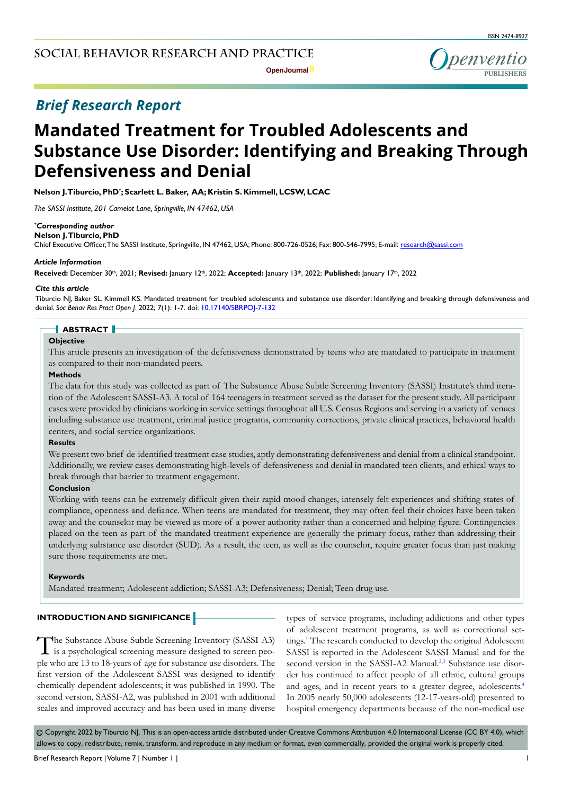## *Brief Research Report*

# **Mandated Treatment for Troubled Adolescents and Substance Use Disorder: Identifying and Breaking Through Defensiveness and Denial**

**Nelson J. Tiburcio, PhD\* ; Scarlett L. Baker, AA; Kristin S. Kimmell, LCSW, LCAC**

*The SASSI Institute, 201 Camelot Lane, Springville, IN 47462, USA*

#### *\* Corresponding author*

## **Nelson J. Tiburcio, PhD**

Chief Executive Officer, The SASSI Institute, Springville, IN 47462, USA; Phone: 800-726-0526; Fax: 800-546-7995; E-mail: research@sassi.com

## *Article Information*

**Received:** December 30th, 2021; **Revised:** January 12th, 2022; **Accepted:** January 13th, 2022; **Published:** January 17th, 2022

## *Cite this article*

Tiburcio NJ, Baker SL, Kimmell KS. Mandated treatment for troubled adolescents and substance use disorder: Identifying and breaking through defensiveness and denial. *Soc Behav Res Pract Open J*. 2022; 7(1): 1-7. doi: [10.17140/SBRPOJ-7-132](http://dx.doi.org/10.17140/SBRPOJ-7-132)

## **ABSTRACT**

#### **Objective**

This article presents an investigation of the defensiveness demonstrated by teens who are mandated to participate in treatment as compared to their non-mandated peers.

## **Methods**

The data for this study was collected as part of The Substance Abuse Subtle Screening Inventory (SASSI) Institute's third iteration of the Adolescent SASSI-A3. A total of 164 teenagers in treatment served as the dataset for the present study. All participant cases were provided by clinicians working in service settings throughout all U.S. Census Regions and serving in a variety of venues including substance use treatment, criminal justice programs, community corrections, private clinical practices, behavioral health centers, and social service organizations.

## **Results**

We present two brief de-identified treatment case studies, aptly demonstrating defensiveness and denial from a clinical standpoint. Additionally, we review cases demonstrating high-levels of defensiveness and denial in mandated teen clients, and ethical ways to break through that barrier to treatment engagement.

## **Conclusion**

Working with teens can be extremely difficult given their rapid mood changes, intensely felt experiences and shifting states of compliance, openness and defiance. When teens are mandated for treatment, they may often feel their choices have been taken away and the counselor may be viewed as more of a power authority rather than a concerned and helping figure. Contingencies placed on the teen as part of the mandated treatment experience are generally the primary focus, rather than addressing their underlying substance use disorder (SUD). As a result, the teen, as well as the counselor, require greater focus than just making sure those requirements are met.

#### **Keywords**

Mandated treatment; Adolescent addiction; SASSI-A3; Defensiveness; Denial; Teen drug use.

## **INTRODUCTION AND SIGNIFICANCE**

The Substance Abuse Subtle Screening Inventory (SASSI-A3) is a psychological screening measure designed to screen people who are 13 to 18-years of age for substance use disorders. The first version of the Adolescent SASSI was designed to identify chemically dependent adolescents; it was published in 1990. The second version, SASSI-A2, was published in 2001 with additional scales and improved accuracy and has been used in many diverse

types of service programs, including addictions and other types of adolescent treatment programs, as well as correctional set-tings.<sup>[1](#page-5-0)</sup> The research conducted to develop the original Adolescent SASSI is reported in the Adolescent SASSI Manual and for the second version in the SASSI-A2 Manual.<sup>2,3</sup> Substance use disorder has continued to affect people of all ethnic, cultural groups and ages, and in recent years to a greater degree, adolescents.<sup>4</sup> In 2005 nearly 50,000 adolescents (12-17-years-old) presented to hospital emergency departments because of the non-medical use

 $\circledcirc$  Copyright 2022 by Tiburcio NJ. This is an open-access article distributed under Creative Commons Attribution 4.0 International License (CC BY 4.0), which allows to copy, redistribute, remix, transform, and reproduce in any medium or format, even commercially, provided the original work is properly cited.

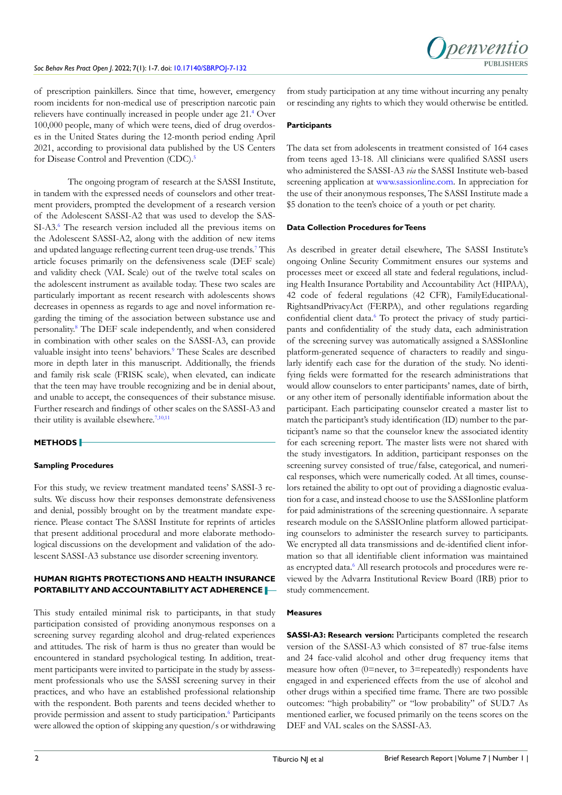

of prescription painkillers. Since that time, however, emergency room incidents for non-medical use of prescription narcotic pain relievers have continually increased in people under age 21[.4](#page-5-2) Over 100,000 people, many of which were teens, died of drug overdoses in the United States during the 12-month period ending April 2021, according to provisional data published by the US Centers for Disease Control and Prevention (CDC).<sup>[5](#page-5-3)</sup>

The ongoing program of research at the SASSI Institute, in tandem with the expressed needs of counselors and other treatment providers, prompted the development of a research version of the Adolescent SASSI-A2 that was used to develop the SAS-SI-A3.<sup>6</sup> The research version included all the previous items on the Adolescent SASSI-A2, along with the addition of new items and updated language reflecting current teen drug-use trends.<sup>[7](#page-5-5)</sup> This article focuses primarily on the defensiveness scale (DEF scale) and validity check (VAL Scale) out of the twelve total scales on the adolescent instrument as available today. These two scales are particularly important as recent research with adolescents shows decreases in openness as regards to age and novel information regarding the timing of the association between substance use and personality.[8](#page-5-6) The DEF scale independently, and when considered in combination with other scales on the SASSI-A3, can provide valuable insight into teens' behaviors.<sup>9</sup> These Scales are described more in depth later in this manuscript. Additionally, the friends and family risk scale (FRISK scale), when elevated, can indicate that the teen may have trouble recognizing and be in denial about, and unable to accept, the consequences of their substance misuse. Further research and findings of other scales on the SASSI-A3 and their utility is available elsewhere.[7,](#page-5-5)[10,11](#page-6-1)

## **METHODS**

#### **Sampling Procedures**

For this study, we review treatment mandated teens' SASSI-3 results. We discuss how their responses demonstrate defensiveness and denial, possibly brought on by the treatment mandate experience. Please contact The SASSI Institute for reprints of articles that present additional procedural and more elaborate methodological discussions on the development and validation of the adolescent SASSI-A3 substance use disorder screening inventory.

## **HUMAN RIGHTS PROTECTIONS AND HEALTH INSURANCE PORTABILITY AND ACCOUNTABILITY ACT ADHERENCE**

This study entailed minimal risk to participants, in that study participation consisted of providing anonymous responses on a screening survey regarding alcohol and drug-related experiences and attitudes. The risk of harm is thus no greater than would be encountered in standard psychological testing. In addition, treatment participants were invited to participate in the study by assessment professionals who use the SASSI screening survey in their practices, and who have an established professional relationship with the respondent. Both parents and teens decided whether to provide permission and assent to study participation.<sup>6</sup> Participants were allowed the option of skipping any question/s or withdrawing

from study participation at any time without incurring any penalty or rescinding any rights to which they would otherwise be entitled.

#### **Participants**

The data set from adolescents in treatment consisted of 164 cases from teens aged 13-18. All clinicians were qualified SASSI users who administered the SASSI-A3 *via* the SASSI Institute web-based screening application at [www.sassionline.com](http://www.sassionline.com). In appreciation for the use of their anonymous responses, The SASSI Institute made a \$5 donation to the teen's choice of a youth or pet charity.

#### **Data Collection Procedures for Teens**

As described in greater detail elsewhere, The SASSI Institute's ongoing Online Security Commitment ensures our systems and processes meet or exceed all state and federal regulations, including Health Insurance Portability and Accountability Act (HIPAA), 42 code of federal regulations (42 CFR), FamilyEducational-RightsandPrivacyAct (FERPA), and other regulations regarding confidential client data.<sup>[6](#page-5-4)</sup> To protect the privacy of study participants and confidentiality of the study data, each administration of the screening survey was automatically assigned a SASSIonline platform-generated sequence of characters to readily and singularly identify each case for the duration of the study. No identifying fields were formatted for the research administrations that would allow counselors to enter participants' names, date of birth, or any other item of personally identifiable information about the participant. Each participating counselor created a master list to match the participant's study identification (ID) number to the participant's name so that the counselor knew the associated identity for each screening report. The master lists were not shared with the study investigators. In addition, participant responses on the screening survey consisted of true/false, categorical, and numerical responses, which were numerically coded. At all times, counselors retained the ability to opt out of providing a diagnostic evaluation for a case, and instead choose to use the SASSIonline platform for paid administrations of the screening questionnaire. A separate research module on the SASSIOnline platform allowed participating counselors to administer the research survey to participants. We encrypted all data transmissions and de-identified client information so that all identifiable client information was maintained as encrypted data.<sup>6</sup> All research protocols and procedures were reviewed by the Advarra Institutional Review Board (IRB) prior to study commencement.

## **Measures**

**SASSI-A3: Research version:** Participants completed the research version of the SASSI-A3 which consisted of 87 true-false items and 24 face-valid alcohol and other drug frequency items that measure how often (0=never, to 3=repeatedly) respondents have engaged in and experienced effects from the use of alcohol and other drugs within a specified time frame. There are two possible outcomes: "high probability" or "low probability" of SUD.7 As mentioned earlier, we focused primarily on the teens scores on the DEF and VAL scales on the SASSI-A3.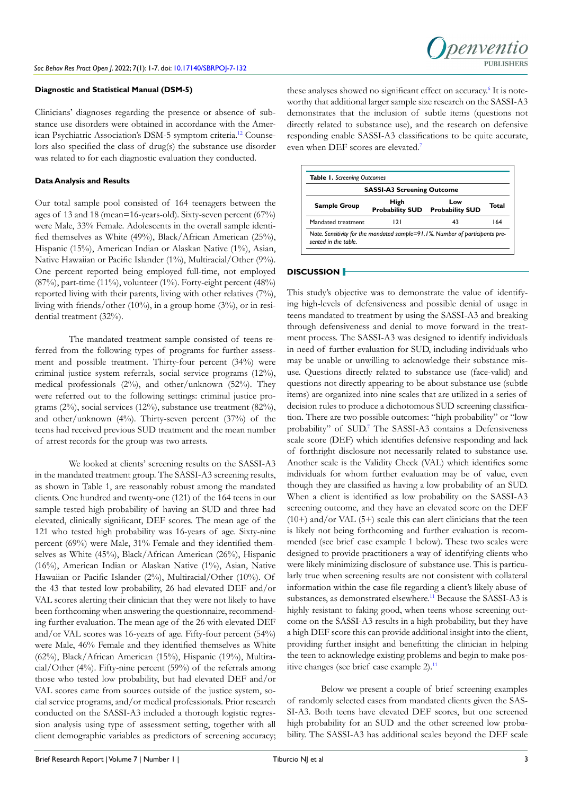## **Diagnostic and Statistical Manual (DSM-5)**

Clinicians' diagnoses regarding the presence or absence of substance use disorders were obtained in accordance with the American Psychiatric Association's DSM-5 symptom criteria.[12](#page-6-2) Counselors also specified the class of drug(s) the substance use disorder was related to for each diagnostic evaluation they conducted.

## **Data Analysis and Results**

Our total sample pool consisted of 164 teenagers between the ages of 13 and 18 (mean=16-years-old). Sixty-seven percent (67%) were Male, 33% Female. Adolescents in the overall sample identified themselves as White (49%), Black/African American (25%), Hispanic (15%), American Indian or Alaskan Native (1%), Asian, Native Hawaiian or Pacific Islander (1%), Multiracial/Other (9%). One percent reported being employed full-time, not employed (87%), part-time (11%), volunteer (1%). Forty-eight percent (48%) reported living with their parents, living with other relatives (7%), living with friends/other (10%), in a group home (3%), or in residential treatment (32%).

The mandated treatment sample consisted of teens referred from the following types of programs for further assessment and possible treatment. Thirty-four percent (34%) were criminal justice system referrals, social service programs (12%), medical professionals (2%), and other/unknown (52%). They were referred out to the following settings: criminal justice programs (2%), social services (12%), substance use treatment (82%), and other/unknown (4%). Thirty-seven percent (37%) of the teens had received previous SUD treatment and the mean number of arrest records for the group was two arrests.

We looked at clients' screening results on the SASSI-A3 in the mandated treatment group. The SASSI-A3 screening results, as shown in Table 1, are reasonably robust among the mandated clients. One hundred and twenty-one (121) of the 164 teens in our sample tested high probability of having an SUD and three had elevated, clinically significant, DEF scores. The mean age of the 121 who tested high probability was 16-years of age. Sixty-nine percent (69%) were Male, 31% Female and they identified themselves as White (45%), Black/African American (26%), Hispanic (16%), American Indian or Alaskan Native (1%), Asian, Native Hawaiian or Pacific Islander (2%), Multiracial/Other (10%). Of the 43 that tested low probability, 26 had elevated DEF and/or VAL scores alerting their clinician that they were not likely to have been forthcoming when answering the questionnaire, recommending further evaluation. The mean age of the 26 with elevated DEF and/or VAL scores was 16-years of age. Fifty-four percent (54%) were Male, 46% Female and they identified themselves as White (62%), Black/African American (15%), Hispanic (19%), Multiracial/Other (4%). Fifty-nine percent (59%) of the referrals among those who tested low probability, but had elevated DEF and/or VAL scores came from sources outside of the justice system, social service programs, and/or medical professionals. Prior research conducted on the SASSI-A3 included a thorough logistic regression analysis using type of assessment setting, together with all client demographic variables as predictors of screening accuracy;

these analyses showed no significant effect on accuracy.<sup>[6](#page-5-4)</sup> It is noteworthy that additional larger sample size research on the SASSI-A3 demonstrates that the inclusion of subtle items (questions not directly related to substance use), and the research on defensive responding enable SASSI-A3 classifications to be quite accurate, even when DEF scores are elevated.<sup>[7](#page-5-5)</sup>

penyentic

| <b>SASSI-A3 Screening Outcome</b> |                                |                               |       |
|-----------------------------------|--------------------------------|-------------------------------|-------|
| <b>Sample Group</b>               | High<br><b>Probability SUD</b> | Low<br><b>Probability SUD</b> | Total |
| Mandated treatment                | 121                            | 43                            | 164   |

#### **DISCUSSION**

This study's objective was to demonstrate the value of identifying high-levels of defensiveness and possible denial of usage in teens mandated to treatment by using the SASSI-A3 and breaking through defensiveness and denial to move forward in the treatment process. The SASSI-A3 was designed to identify individuals in need of further evaluation for SUD, including individuals who may be unable or unwilling to acknowledge their substance misuse. Questions directly related to substance use (face-valid) and questions not directly appearing to be about substance use (subtle items) are organized into nine scales that are utilized in a series of decision rules to produce a dichotomous SUD screening classification. There are two possible outcomes: "high probability" or "low probability" of SUD.<sup>7</sup> The SASSI-A3 contains a Defensiveness scale score (DEF) which identifies defensive responding and lack of forthright disclosure not necessarily related to substance use. Another scale is the Validity Check (VAL) which identifies some individuals for whom further evaluation may be of value, even though they are classified as having a low probability of an SUD. When a client is identified as low probability on the SASSI-A3 screening outcome, and they have an elevated score on the DEF  $(10+)$  and/or VAL  $(5+)$  scale this can alert clinicians that the teen is likely not being forthcoming and further evaluation is recommended (see brief case example 1 below). These two scales were designed to provide practitioners a way of identifying clients who were likely minimizing disclosure of substance use. This is particularly true when screening results are not consistent with collateral information within the case file regarding a client's likely abuse of substances, as demonstrated elsewhere.<sup>11</sup> Because the SASSI-A3 is highly resistant to faking good, when teens whose screening outcome on the SASSI-A3 results in a high probability, but they have a high DEF score this can provide additional insight into the client, providing further insight and benefitting the clinician in helping the teen to acknowledge existing problems and begin to make positive changes (see brief case example 2).<sup>11</sup>

Below we present a couple of brief screening examples of randomly selected cases from mandated clients given the SAS-SI-A3. Both teens have elevated DEF scores, but one screened high probability for an SUD and the other screened low probability. The SASSI-A3 has additional scales beyond the DEF scale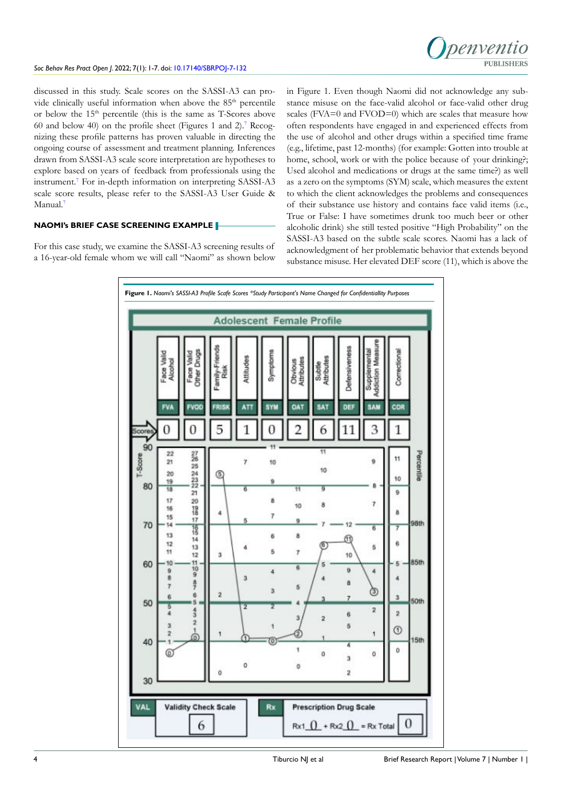

discussed in this study. Scale scores on the SASSI-A3 can provide clinically useful information when above the 85<sup>th</sup> percentile or below the 15th percentile (this is the same as T-Scores above 60 and below 40) on the profile sheet (Figures 1 and 2).[7](#page-5-5) Recognizing these profile patterns has proven valuable in directing the ongoing course of assessment and treatment planning. Inferences drawn from SASSI-A3 scale score interpretation are hypotheses to explore based on years of feedback from professionals using the instrument.[7](#page-5-5) For in-depth information on interpreting SASSI-A3 scale score results, please refer to the SASSI-A3 User Guide & Manual.[7](#page-5-5)

## **NAOMI's BRIEF CASE SCREENING EXAMPLE**

For this case study, we examine the SASSI-A3 screening results of a 16-year-old female whom we will call "Naomi" as shown below in Figure 1. Even though Naomi did not acknowledge any substance misuse on the face-valid alcohol or face-valid other drug scales (FVA=0 and FVOD=0) which are scales that measure how often respondents have engaged in and experienced effects from the use of alcohol and other drugs within a specified time frame (e.g., lifetime, past 12-months) (for example: Gotten into trouble at home, school, work or with the police because of your drinking?; Used alcohol and medications or drugs at the same time?) as well as a zero on the symptoms (SYM) scale, which measures the extent to which the client acknowledges the problems and consequences of their substance use history and contains face valid items (i.e., True or False: I have sometimes drunk too much beer or other alcoholic drink) she still tested positive "High Probability" on the SASSI-A3 based on the subtle scale scores. Naomi has a lack of acknowledgment of her problematic behavior that extends beyond substance misuse. Her elevated DEF score (11), which is above the

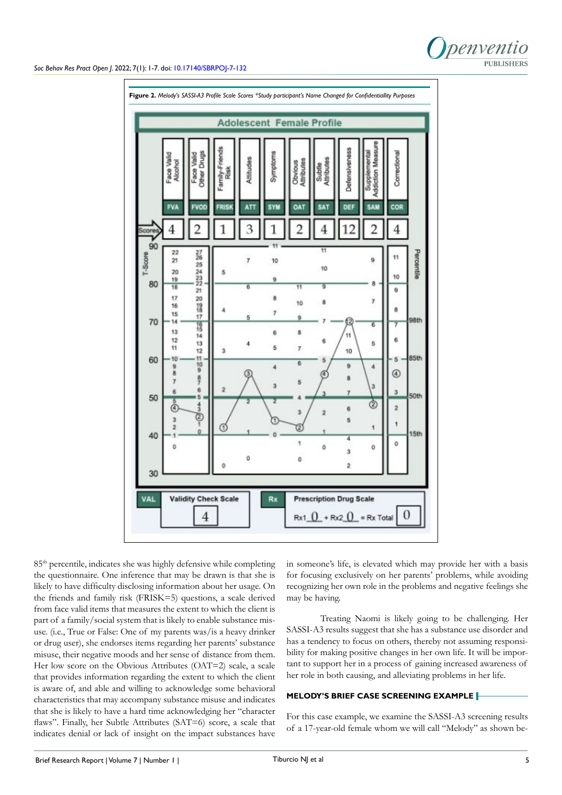



85th percentile, indicates she was highly defensive while completing the questionnaire. One inference that may be drawn is that she is likely to have difficulty disclosing information about her usage. On the friends and family risk (FRISK=5) questions, a scale derived from face valid items that measures the extent to which the client is part of a family/social system that is likely to enable substance misuse. (i.e., True or False: One of my parents was/is a heavy drinker or drug user), she endorses items regarding her parents' substance misuse, their negative moods and her sense of distance from them. Her low score on the Obvious Attributes (OAT=2) scale, a scale that provides information regarding the extent to which the client is aware of, and able and willing to acknowledge some behavioral characteristics that may accompany substance misuse and indicates that she is likely to have a hard time acknowledging her "character flaws". Finally, her Subtle Attributes (SAT=6) score, a scale that indicates denial or lack of insight on the impact substances have

in someone's life, is elevated which may provide her with a basis for focusing exclusively on her parents' problems, while avoiding recognizing her own role in the problems and negative feelings she may be having.

Treating Naomi is likely going to be challenging. Her SASSI-A3 results suggest that she has a substance use disorder and has a tendency to focus on others, thereby not assuming responsibility for making positive changes in her own life. It will be important to support her in a process of gaining increased awareness of her role in both causing, and alleviating problems in her life.

## **MELODY'S BRIEF CASE SCREENING EXAMPLE**

For this case example, we examine the SASSI-A3 screening results of a 17-year-old female whom we will call "Melody" as shown be-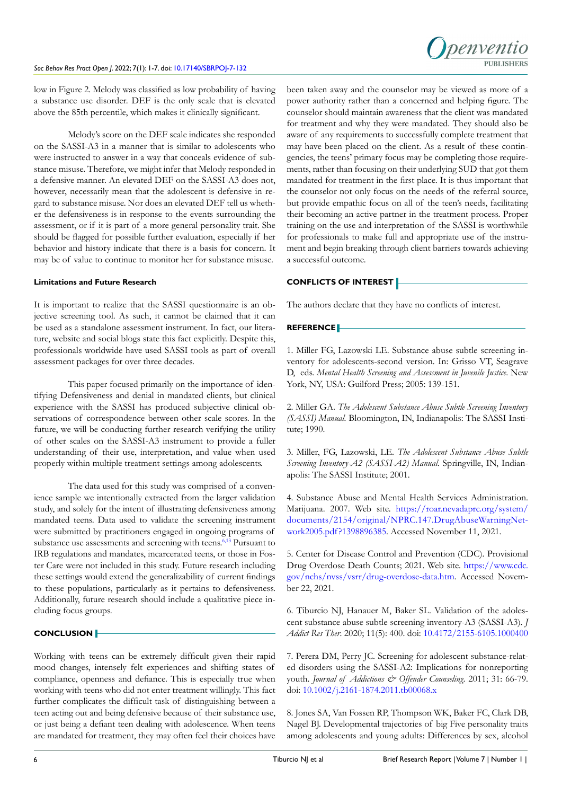

low in Figure 2. Melody was classified as low probability of having a substance use disorder. DEF is the only scale that is elevated above the 85th percentile, which makes it clinically significant.

Melody's score on the DEF scale indicates she responded on the SASSI-A3 in a manner that is similar to adolescents who were instructed to answer in a way that conceals evidence of substance misuse. Therefore, we might infer that Melody responded in a defensive manner. An elevated DEF on the SASSI-A3 does not, however, necessarily mean that the adolescent is defensive in regard to substance misuse. Nor does an elevated DEF tell us whether the defensiveness is in response to the events surrounding the assessment, or if it is part of a more general personality trait. She should be flagged for possible further evaluation, especially if her behavior and history indicate that there is a basis for concern. It may be of value to continue to monitor her for substance misuse.

## **Limitations and Future Research**

It is important to realize that the SASSI questionnaire is an objective screening tool. As such, it cannot be claimed that it can be used as a standalone assessment instrument. In fact, our literature, website and social blogs state this fact explicitly. Despite this, professionals worldwide have used SASSI tools as part of overall assessment packages for over three decades.

This paper focused primarily on the importance of identifying Defensiveness and denial in mandated clients, but clinical experience with the SASSI has produced subjective clinical observations of correspondence between other scale scores. In the future, we will be conducting further research verifying the utility of other scales on the SASSI-A3 instrument to provide a fuller understanding of their use, interpretation, and value when used properly within multiple treatment settings among adolescents.

The data used for this study was comprised of a convenience sample we intentionally extracted from the larger validation study, and solely for the intent of illustrating defensiveness among mandated teens. Data used to validate the screening instrument were submitted by practitioners engaged in ongoing programs of substance use assessments and screening with teens.<sup>6,13</sup> Pursuant to IRB regulations and mandates, incarcerated teens, or those in Foster Care were not included in this study. Future research including these settings would extend the generalizability of current findings to these populations, particularly as it pertains to defensiveness. Additionally, future research should include a qualitative piece including focus groups.

## **CONCLUSION**

Working with teens can be extremely difficult given their rapid mood changes, intensely felt experiences and shifting states of compliance, openness and defiance. This is especially true when working with teens who did not enter treatment willingly. This fact further complicates the difficult task of distinguishing between a teen acting out and being defensive because of their substance use, or just being a defiant teen dealing with adolescence. When teens are mandated for treatment, they may often feel their choices have been taken away and the counselor may be viewed as more of a power authority rather than a concerned and helping figure. The counselor should maintain awareness that the client was mandated for treatment and why they were mandated. They should also be aware of any requirements to successfully complete treatment that may have been placed on the client. As a result of these contingencies, the teens' primary focus may be completing those requirements, rather than focusing on their underlying SUD that got them mandated for treatment in the first place. It is thus important that the counselor not only focus on the needs of the referral source, but provide empathic focus on all of the teen's needs, facilitating their becoming an active partner in the treatment process. Proper training on the use and interpretation of the SASSI is worthwhile for professionals to make full and appropriate use of the instrument and begin breaking through client barriers towards achieving a successful outcome.

## **CONFLICTS OF INTEREST**

The authors declare that they have no conflicts of interest.

## **REFERENCE**

<span id="page-5-0"></span>1. Miller FG, Lazowski LE. Substance abuse subtle screening inventory for adolescents-second version. In: Grisso VT, Seagrave D, eds. *Mental Health Screening and Assessment in Juvenile Justice*. New York, NY, USA: Guilford Press; 2005: 139-151.

<span id="page-5-1"></span>2. Miller GA. *The Adolescent Substance Abuse Subtle Screening Inventory (SASSI) Manual.* Bloomington, IN, Indianapolis: The SASSI Institute; 1990.

3. Miller, FG, Lazowski, LE. *The Adolescent Substance Abuse Subtle Screening Inventory-A2 (SASSI-A2) Manual*. Springville, IN, Indianapolis: The SASSI Institute; 2001.

<span id="page-5-2"></span>4. Substance Abuse and Mental Health Services Administration. Marijuana. 2007. Web site. [https://roar.nevadaprc.org/system/](https://roar.nevadaprc.org/system/documents/2154/original/NPRC.147.DrugAbuseWarningNetwork2005.pdf?1) [documents/2154/original/NPRC.147.DrugAbuseWarningNet](https://roar.nevadaprc.org/system/documents/2154/original/NPRC.147.DrugAbuseWarningNetwork2005.pdf?1)[work2005.pdf?1398896385](https://roar.nevadaprc.org/system/documents/2154/original/NPRC.147.DrugAbuseWarningNetwork2005.pdf?1). Accessed November 11, 2021.

<span id="page-5-3"></span>5. Center for Disease Control and Prevention (CDC). Provisional Drug Overdose Death Counts; 2021. Web site. [https://www.cdc.](https://www.cdc.gov/nchs/nvss/vsrr/drug-overdose-data.htm) [gov/nchs/nvss/vsrr/drug-overdose-data.htm](https://www.cdc.gov/nchs/nvss/vsrr/drug-overdose-data.htm). Accessed November 22, 2021.

<span id="page-5-4"></span>6. Tiburcio NJ, Hanauer M, Baker SL. Validation of the adolescent substance abuse subtle screening inventory-A3 (SASSI-A3). *J Addict Res Ther*. 2020; 11(5): 400. doi: [10.4172/2155-6105.1000400](http://doi.org/10.4172/2155-6105.1000400 )

<span id="page-5-5"></span>7. Perera DM, Perry JC. Screening for adolescent substance-related disorders using the SASSI-A2: Implications for nonreporting youth. *Journal of Addictions & Offender Counseling*. 2011; 31: 66-79. doi: [10.1002/j.2161-1874.2011.tb00068.x](http://doi.org/10.1002/j.2161-1874.2011.tb00068.x)

<span id="page-5-6"></span>8. Jones SA, Van Fossen RP, Thompson WK, Baker FC, Clark DB, Nagel BJ. Developmental trajectories of big Five personality traits among adolescents and young adults: Differences by sex, alcohol